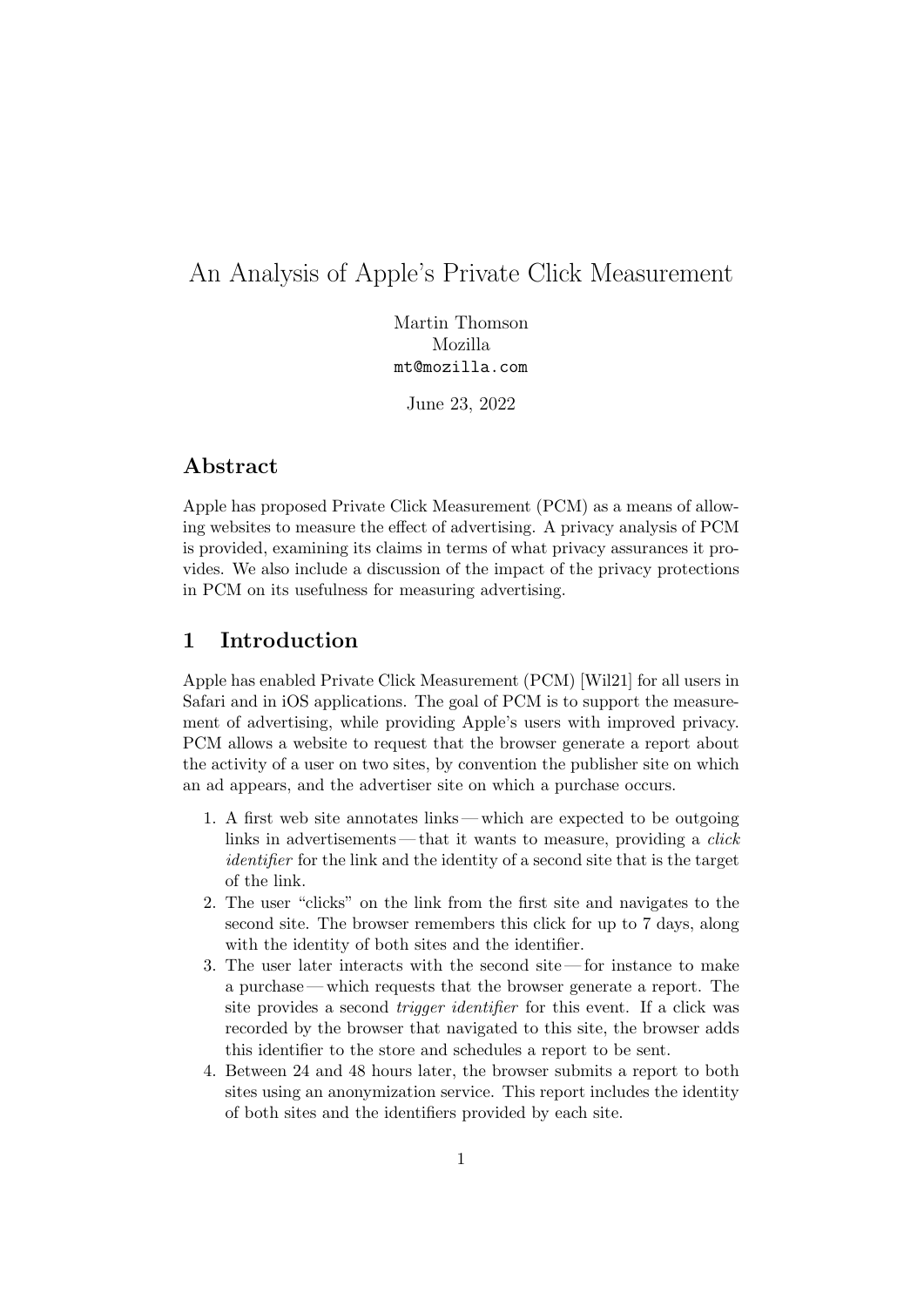# An Analysis of Apple's Private Click Measurement

Martin Thomson Mozilla <mt@mozilla.com>

June 23, 2022

## Abstract

Apple has proposed Private Click Measurement (PCM) as a means of allowing websites to measure the effect of advertising. A privacy analysis of PCM is provided, examining its claims in terms of what privacy assurances it provides. We also include a discussion of the impact of the privacy protections in PCM on its usefulness for measuring advertising.

## 1 Introduction

Apple has enabled Private Click Measurement (PCM) [\[Wil21\]](#page-11-0) for all users in Safari and in iOS applications. The goal of PCM is to support the measurement of advertising, while providing Apple's users with improved privacy. PCM allows a website to request that the browser generate a report about the activity of a user on two sites, by convention the publisher site on which an ad appears, and the advertiser site on which a purchase occurs.

- 1. A first web site annotates links which are expected to be outgoing links in advertisements—that it wants to measure, providing a *click* identifier for the link and the identity of a second site that is the target of the link.
- 2. The user "clicks" on the link from the first site and navigates to the second site. The browser remembers this click for up to 7 days, along with the identity of both sites and the identifier.
- 3. The user later interacts with the second site for instance to make a purchase — which requests that the browser generate a report. The site provides a second trigger identifier for this event. If a click was recorded by the browser that navigated to this site, the browser adds this identifier to the store and schedules a report to be sent.
- 4. Between 24 and 48 hours later, the browser submits a report to both sites using an anonymization service. This report includes the identity of both sites and the identifiers provided by each site.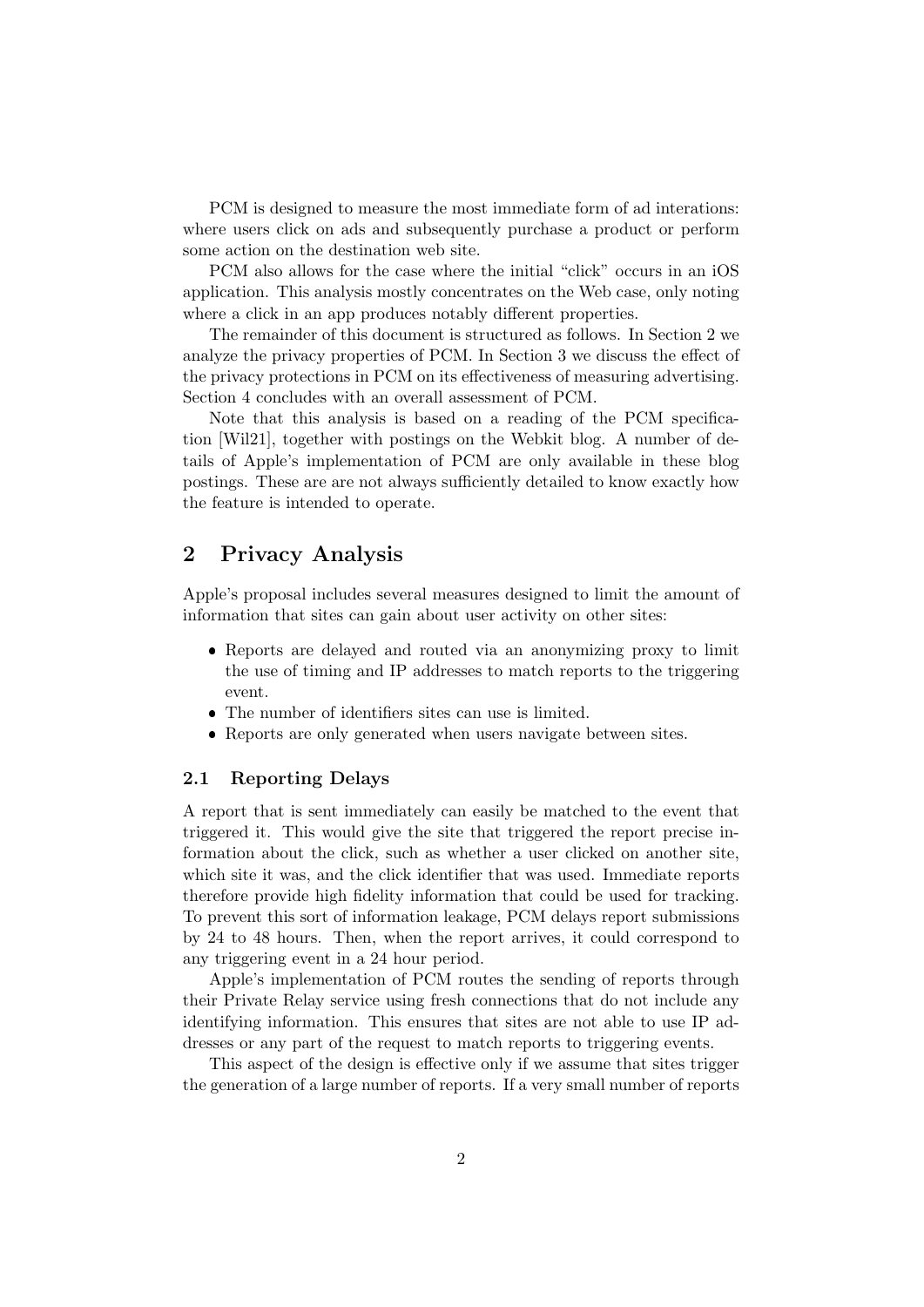PCM is designed to measure the most immediate form of ad interations: where users click on ads and subsequently purchase a product or perform some action on the destination web site.

PCM also allows for the case where the initial "click" occurs in an iOS application. This analysis mostly concentrates on the Web case, only noting where a click in an app produces notably different properties.

The remainder of this document is structured as follows. In Section [2](#page-1-0) we analyze the privacy properties of PCM. In Section [3](#page-7-0) we discuss the effect of the privacy protections in PCM on its effectiveness of measuring advertising. Section [4](#page-10-0) concludes with an overall assessment of PCM.

Note that this analysis is based on a reading of the PCM specification [\[Wil21\]](#page-11-0), together with postings on the Webkit blog. A number of details of Apple's implementation of PCM are only available in these blog postings. These are are not always sufficiently detailed to know exactly how the feature is intended to operate.

## <span id="page-1-0"></span>2 Privacy Analysis

Apple's proposal includes several measures designed to limit the amount of information that sites can gain about user activity on other sites:

- Reports are delayed and routed via an anonymizing proxy to limit the use of timing and IP addresses to match reports to the triggering event.
- The number of identifiers sites can use is limited.
- Reports are only generated when users navigate between sites.

## 2.1 Reporting Delays

A report that is sent immediately can easily be matched to the event that triggered it. This would give the site that triggered the report precise information about the click, such as whether a user clicked on another site, which site it was, and the click identifier that was used. Immediate reports therefore provide high fidelity information that could be used for tracking. To prevent this sort of information leakage, PCM delays report submissions by 24 to 48 hours. Then, when the report arrives, it could correspond to any triggering event in a 24 hour period.

Apple's implementation of PCM routes the sending of reports through their Private Relay service using fresh connections that do not include any identifying information. This ensures that sites are not able to use IP addresses or any part of the request to match reports to triggering events.

This aspect of the design is effective only if we assume that sites trigger the generation of a large number of reports. If a very small number of reports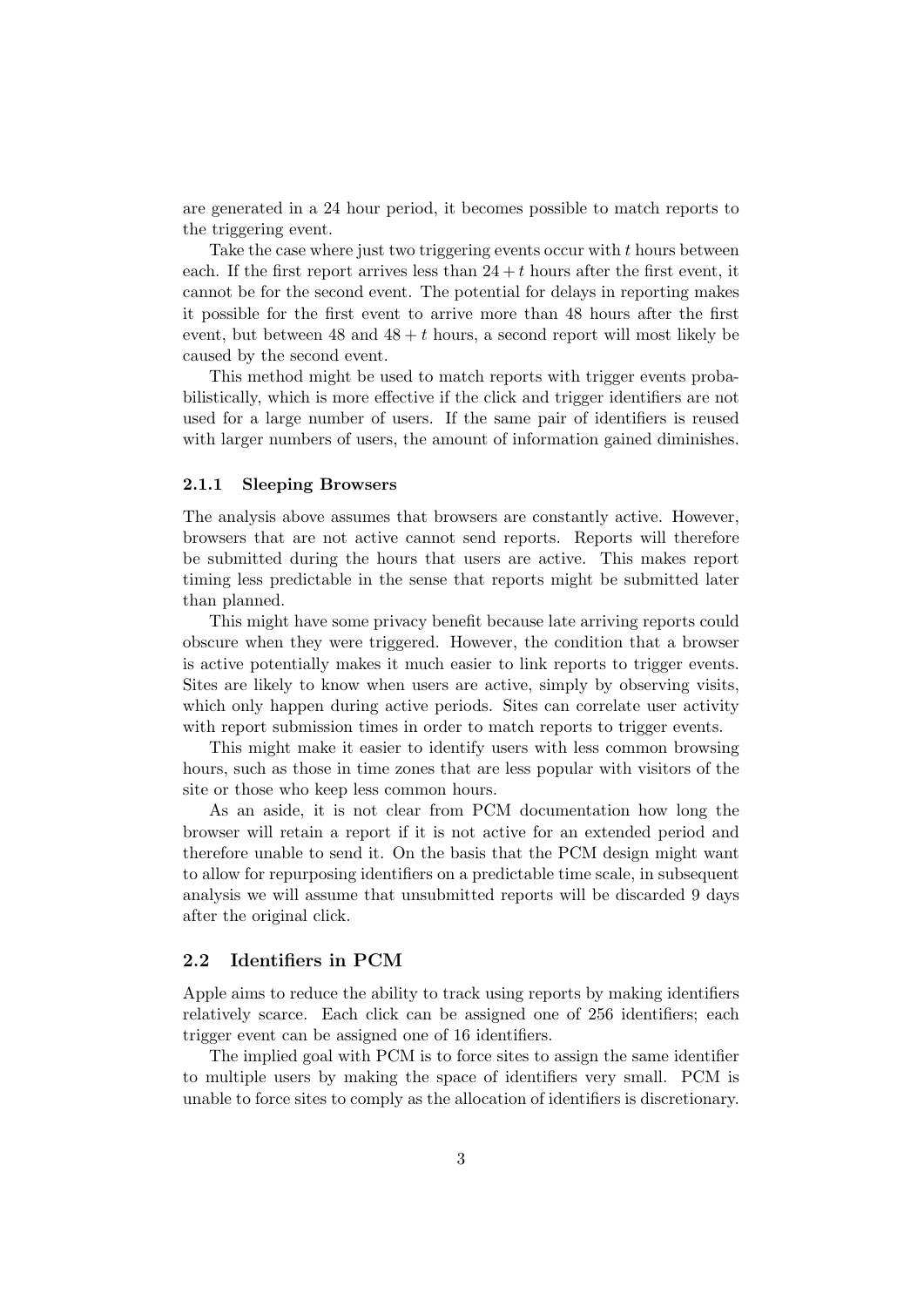are generated in a 24 hour period, it becomes possible to match reports to the triggering event.

Take the case where just two triggering events occur with t hours between each. If the first report arrives less than  $24 + t$  hours after the first event, it cannot be for the second event. The potential for delays in reporting makes it possible for the first event to arrive more than 48 hours after the first event, but between 48 and  $48 + t$  hours, a second report will most likely be caused by the second event.

This method might be used to match reports with trigger events probabilistically, which is more effective if the click and trigger identifiers are not used for a large number of users. If the same pair of identifiers is reused with larger numbers of users, the amount of information gained diminishes.

### 2.1.1 Sleeping Browsers

The analysis above assumes that browsers are constantly active. However, browsers that are not active cannot send reports. Reports will therefore be submitted during the hours that users are active. This makes report timing less predictable in the sense that reports might be submitted later than planned.

This might have some privacy benefit because late arriving reports could obscure when they were triggered. However, the condition that a browser is active potentially makes it much easier to link reports to trigger events. Sites are likely to know when users are active, simply by observing visits, which only happen during active periods. Sites can correlate user activity with report submission times in order to match reports to trigger events.

This might make it easier to identify users with less common browsing hours, such as those in time zones that are less popular with visitors of the site or those who keep less common hours.

As an aside, it is not clear from PCM documentation how long the browser will retain a report if it is not active for an extended period and therefore unable to send it. On the basis that the PCM design might want to allow for repurposing identifiers on a predictable time scale, in subsequent analysis we will assume that unsubmitted reports will be discarded 9 days after the original click.

#### 2.2 Identifiers in PCM

Apple aims to reduce the ability to track using reports by making identifiers relatively scarce. Each click can be assigned one of 256 identifiers; each trigger event can be assigned one of 16 identifiers.

The implied goal with PCM is to force sites to assign the same identifier to multiple users by making the space of identifiers very small. PCM is unable to force sites to comply as the allocation of identifiers is discretionary.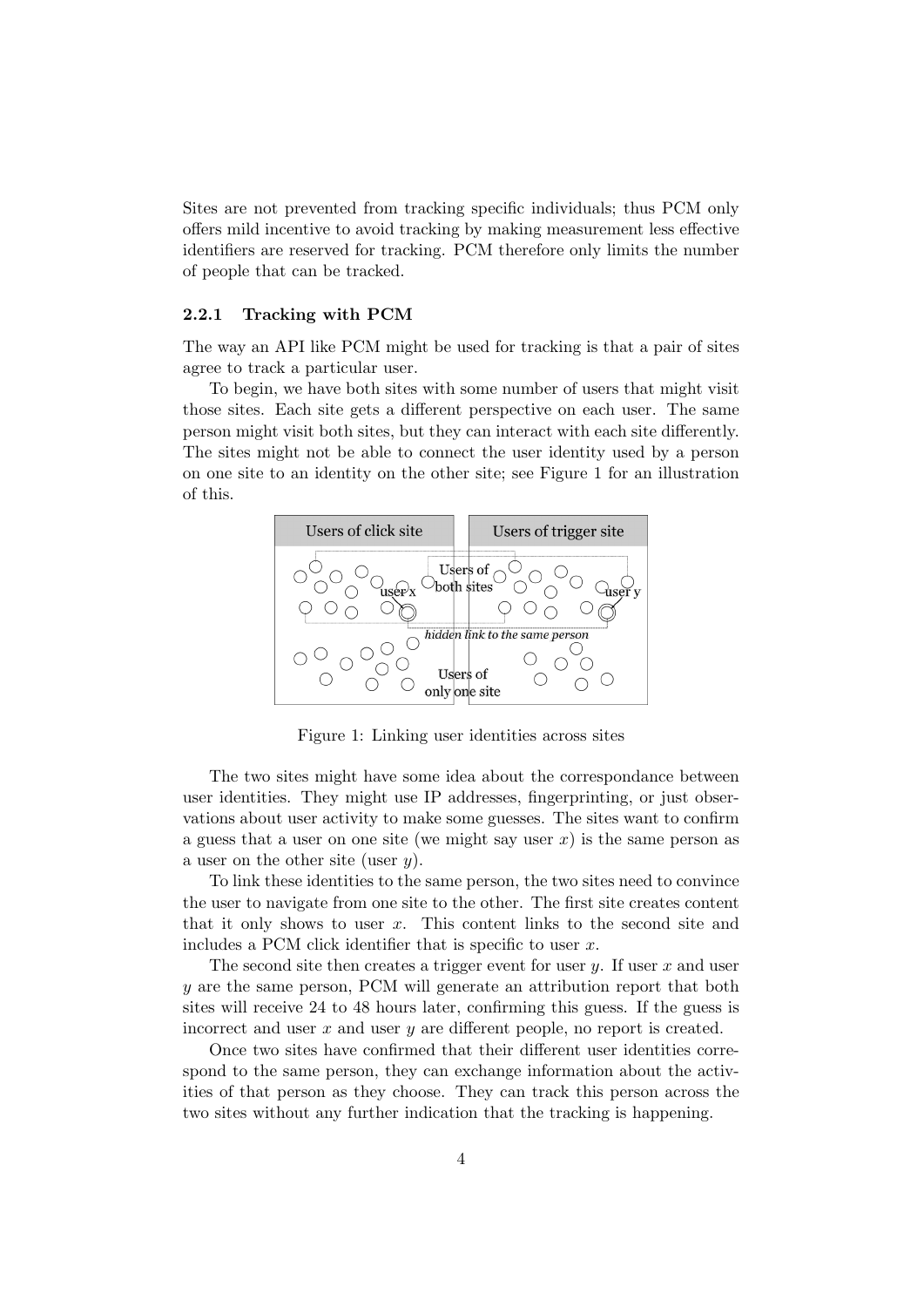Sites are not prevented from tracking specific individuals; thus PCM only offers mild incentive to avoid tracking by making measurement less effective identifiers are reserved for tracking. PCM therefore only limits the number of people that can be tracked.

### <span id="page-3-1"></span>2.2.1 Tracking with PCM

The way an API like PCM might be used for tracking is that a pair of sites agree to track a particular user.

To begin, we have both sites with some number of users that might visit those sites. Each site gets a different perspective on each user. The same person might visit both sites, but they can interact with each site differently. The sites might not be able to connect the user identity used by a person on one site to an identity on the other site; see Figure [1](#page-3-0) for an illustration of this.



<span id="page-3-0"></span>Figure 1: Linking user identities across sites

The two sites might have some idea about the correspondance between user identities. They might use IP addresses, fingerprinting, or just observations about user activity to make some guesses. The sites want to confirm a guess that a user on one site (we might say user  $x$ ) is the same person as a user on the other site (user  $y$ ).

To link these identities to the same person, the two sites need to convince the user to navigate from one site to the other. The first site creates content that it only shows to user  $x$ . This content links to the second site and includes a PCM click identifier that is specific to user  $x$ .

The second site then creates a trigger event for user  $y$ . If user  $x$  and user y are the same person, PCM will generate an attribution report that both sites will receive 24 to 48 hours later, confirming this guess. If the guess is incorrect and user  $x$  and user  $y$  are different people, no report is created.

Once two sites have confirmed that their different user identities correspond to the same person, they can exchange information about the activities of that person as they choose. They can track this person across the two sites without any further indication that the tracking is happening.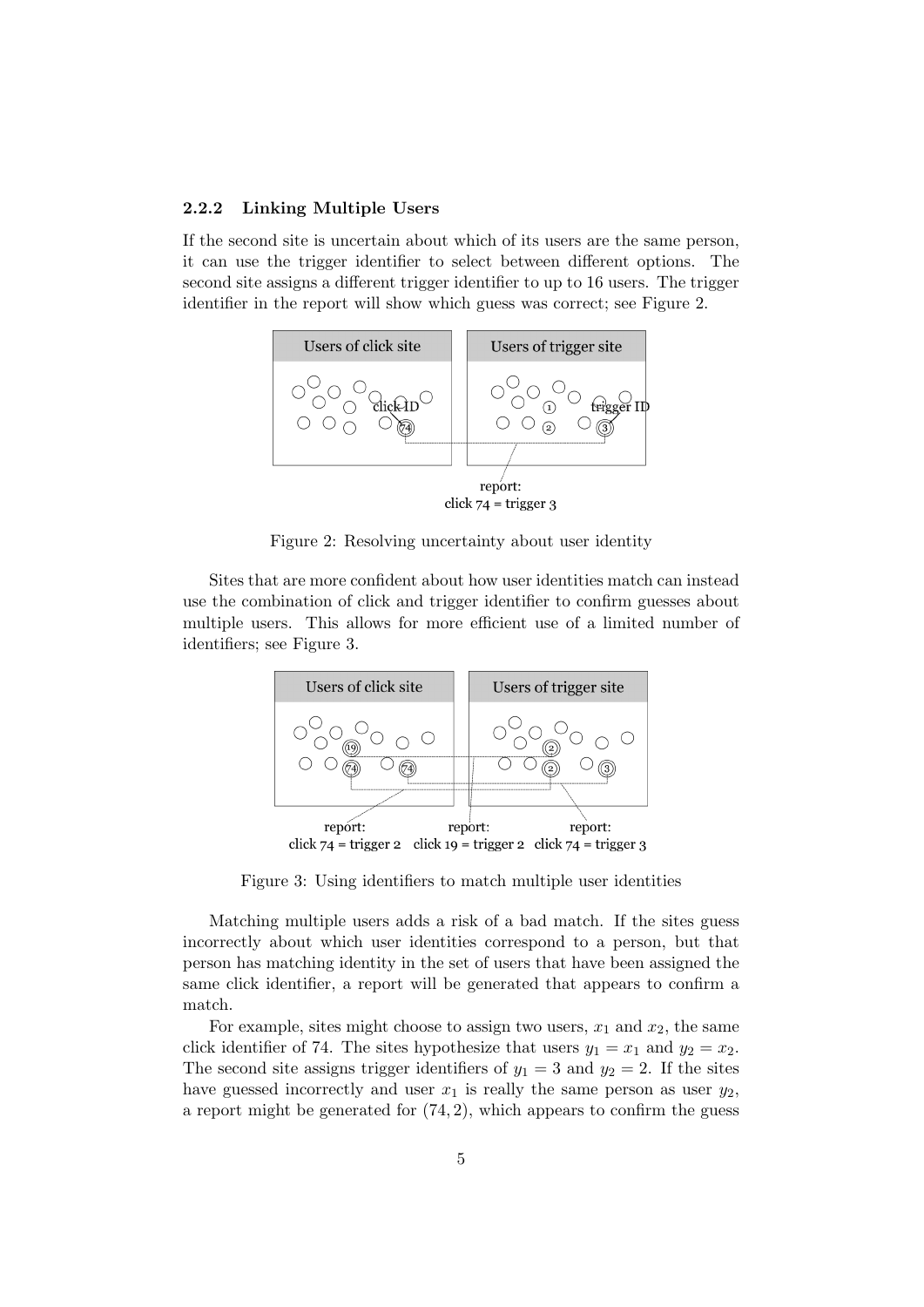#### 2.2.2 Linking Multiple Users

If the second site is uncertain about which of its users are the same person, it can use the trigger identifier to select between different options. The second site assigns a different trigger identifier to up to 16 users. The trigger identifier in the report will show which guess was correct; see Figure [2.](#page-4-0)



<span id="page-4-0"></span>Figure 2: Resolving uncertainty about user identity

Sites that are more confident about how user identities match can instead use the combination of click and trigger identifier to confirm guesses about multiple users. This allows for more efficient use of a limited number of identifiers; see Figure [3.](#page-4-1)



<span id="page-4-1"></span>Figure 3: Using identifiers to match multiple user identities

Matching multiple users adds a risk of a bad match. If the sites guess incorrectly about which user identities correspond to a person, but that person has matching identity in the set of users that have been assigned the same click identifier, a report will be generated that appears to confirm a match.

For example, sites might choose to assign two users,  $x_1$  and  $x_2$ , the same click identifier of 74. The sites hypothesize that users  $y_1 = x_1$  and  $y_2 = x_2$ . The second site assigns trigger identifiers of  $y_1 = 3$  and  $y_2 = 2$ . If the sites have guessed incorrectly and user  $x_1$  is really the same person as user  $y_2$ , a report might be generated for  $(74, 2)$ , which appears to confirm the guess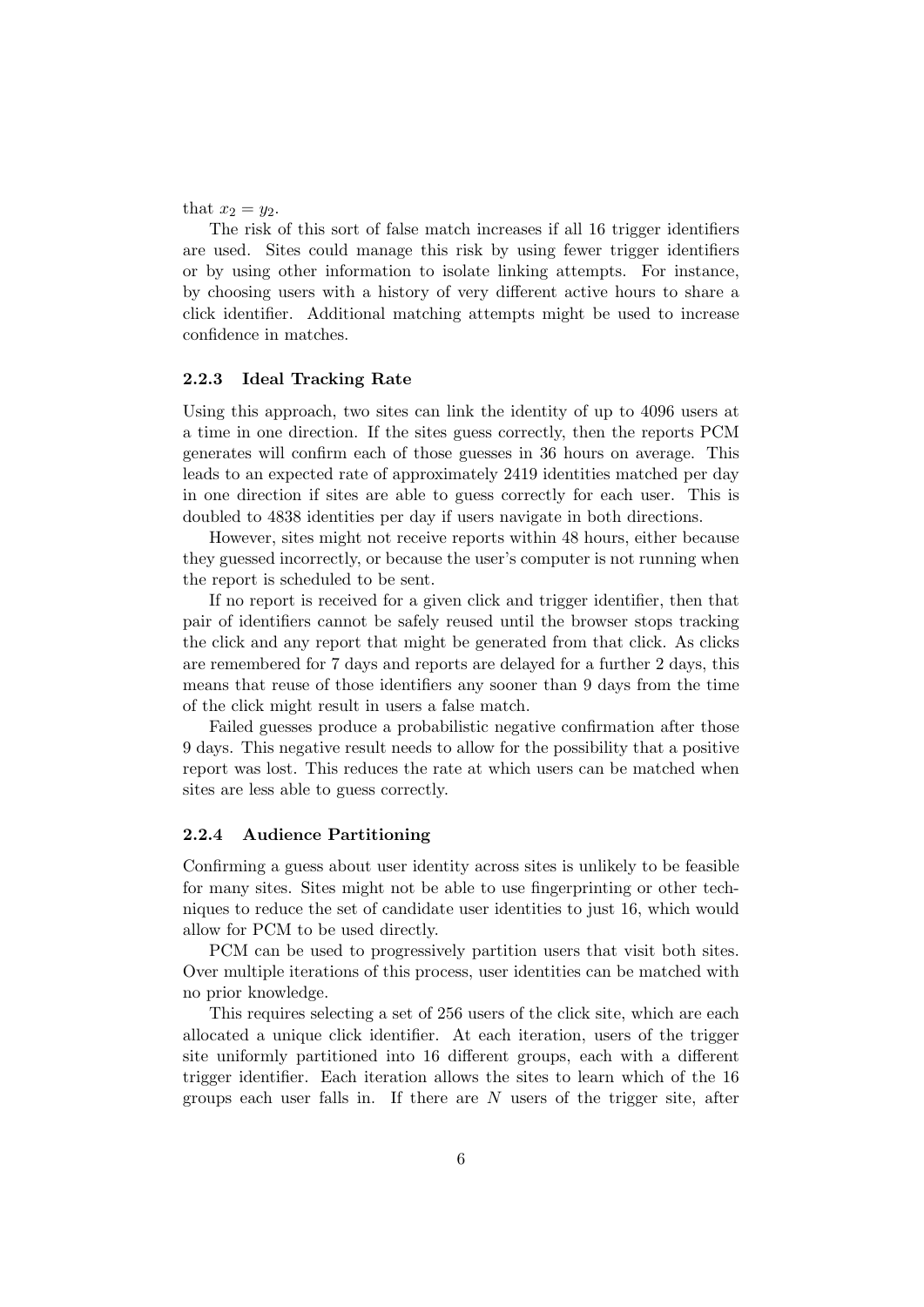that  $x_2 = y_2$ .

The risk of this sort of false match increases if all 16 trigger identifiers are used. Sites could manage this risk by using fewer trigger identifiers or by using other information to isolate linking attempts. For instance, by choosing users with a history of very different active hours to share a click identifier. Additional matching attempts might be used to increase confidence in matches.

### 2.2.3 Ideal Tracking Rate

Using this approach, two sites can link the identity of up to 4096 users at a time in one direction. If the sites guess correctly, then the reports PCM generates will confirm each of those guesses in 36 hours on average. This leads to an expected rate of approximately 2419 identities matched per day in one direction if sites are able to guess correctly for each user. This is doubled to 4838 identities per day if users navigate in both directions.

However, sites might not receive reports within 48 hours, either because they guessed incorrectly, or because the user's computer is not running when the report is scheduled to be sent.

If no report is received for a given click and trigger identifier, then that pair of identifiers cannot be safely reused until the browser stops tracking the click and any report that might be generated from that click. As clicks are remembered for 7 days and reports are delayed for a further 2 days, this means that reuse of those identifiers any sooner than 9 days from the time of the click might result in users a false match.

Failed guesses produce a probabilistic negative confirmation after those 9 days. This negative result needs to allow for the possibility that a positive report was lost. This reduces the rate at which users can be matched when sites are less able to guess correctly.

#### <span id="page-5-0"></span>2.2.4 Audience Partitioning

Confirming a guess about user identity across sites is unlikely to be feasible for many sites. Sites might not be able to use fingerprinting or other techniques to reduce the set of candidate user identities to just 16, which would allow for PCM to be used directly.

PCM can be used to progressively partition users that visit both sites. Over multiple iterations of this process, user identities can be matched with no prior knowledge.

This requires selecting a set of 256 users of the click site, which are each allocated a unique click identifier. At each iteration, users of the trigger site uniformly partitioned into 16 different groups, each with a different trigger identifier. Each iteration allows the sites to learn which of the 16 groups each user falls in. If there are  $N$  users of the trigger site, after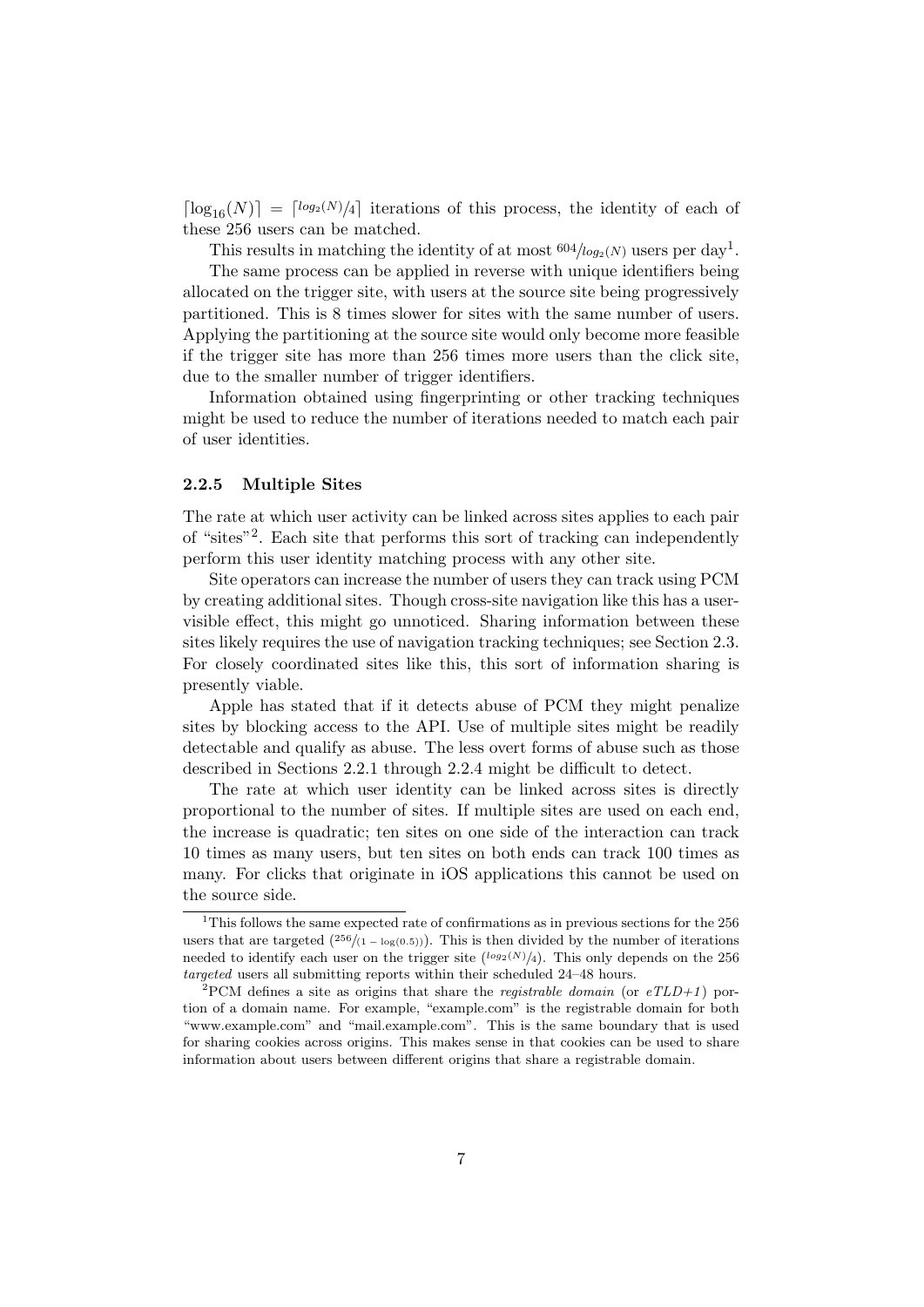$\lceil \log_{16}(N) \rceil = \lceil \log_2(N)/4 \rceil$  iterations of this process, the identity of each of these 256 users can be matched.

This results in matching the identity of at most  $604/log_2(N)$  users per day<sup>[1](#page-6-0)</sup>.

The same process can be applied in reverse with unique identifiers being allocated on the trigger site, with users at the source site being progressively partitioned. This is 8 times slower for sites with the same number of users. Applying the partitioning at the source site would only become more feasible if the trigger site has more than 256 times more users than the click site, due to the smaller number of trigger identifiers.

Information obtained using fingerprinting or other tracking techniques might be used to reduce the number of iterations needed to match each pair of user identities.

### 2.2.5 Multiple Sites

The rate at which user activity can be linked across sites applies to each pair of "sites"[2](#page-6-1) . Each site that performs this sort of tracking can independently perform this user identity matching process with any other site.

Site operators can increase the number of users they can track using PCM by creating additional sites. Though cross-site navigation like this has a uservisible effect, this might go unnoticed. Sharing information between these sites likely requires the use of navigation tracking techniques; see Section [2.3.](#page-7-1) For closely coordinated sites like this, this sort of information sharing is presently viable.

Apple has stated that if it detects abuse of PCM they might penalize sites by blocking access to the API. Use of multiple sites might be readily detectable and qualify as abuse. The less overt forms of abuse such as those described in Sections [2.2.1](#page-3-1) through [2.2.4](#page-5-0) might be difficult to detect.

The rate at which user identity can be linked across sites is directly proportional to the number of sites. If multiple sites are used on each end, the increase is quadratic; ten sites on one side of the interaction can track 10 times as many users, but ten sites on both ends can track 100 times as many. For clicks that originate in iOS applications this cannot be used on the source side.

<span id="page-6-0"></span><sup>&</sup>lt;sup>1</sup>This follows the same expected rate of confirmations as in previous sections for the  $256$ users that are targeted ( $^{256}/(1 - \log(0.5))$ ). This is then divided by the number of iterations needed to identify each user on the trigger site  $(\log_2(N)/4)$ . This only depends on the 256 targeted users all submitting reports within their scheduled 24–48 hours.

<span id="page-6-1"></span><sup>&</sup>lt;sup>2</sup>PCM defines a site as origins that share the *registrable domain* (or  $eTLD+1$ ) portion of a domain name. For example, "example.com" is the registrable domain for both "www.example.com" and "mail.example.com". This is the same boundary that is used for sharing cookies across origins. This makes sense in that cookies can be used to share information about users between different origins that share a registrable domain.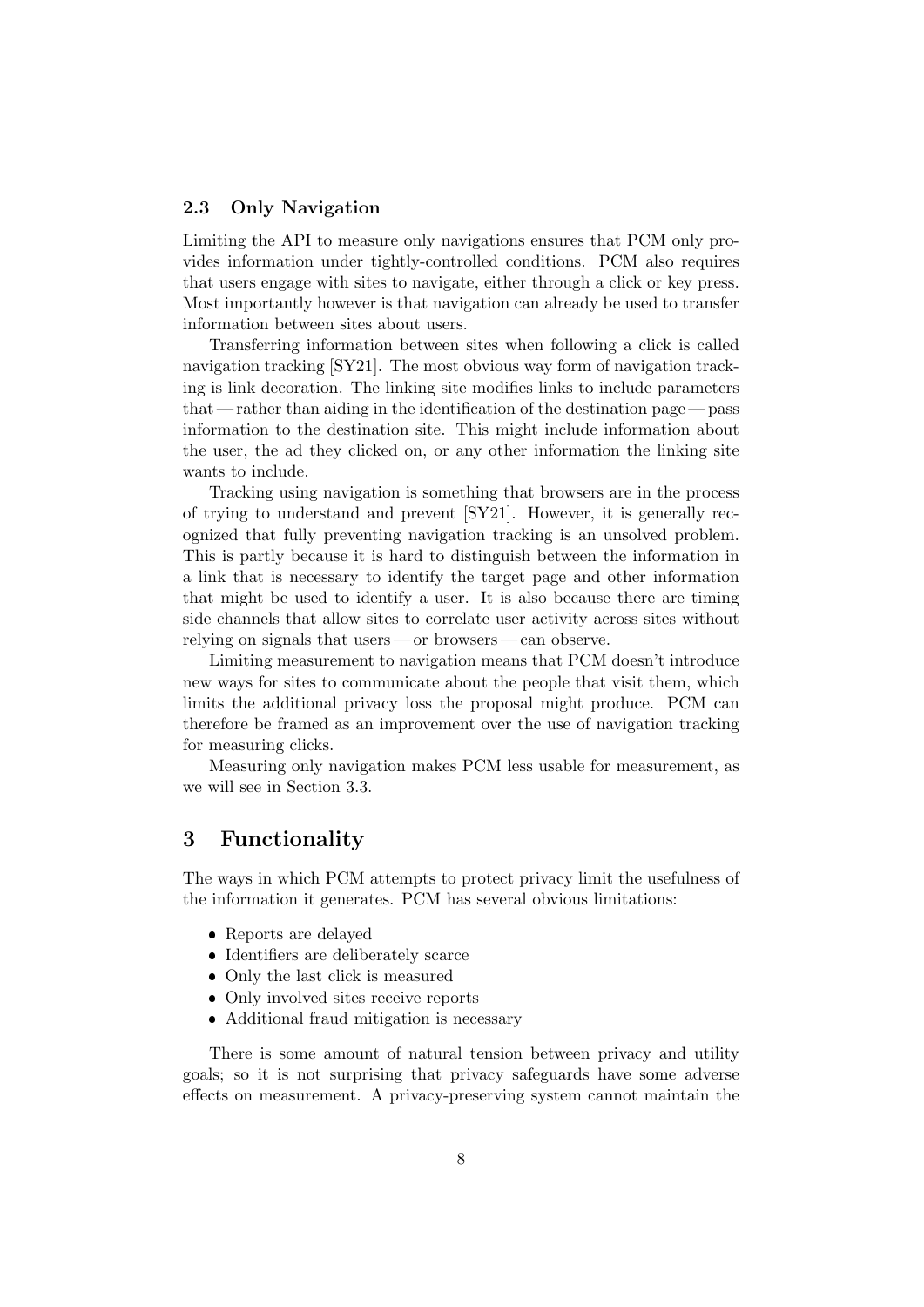## <span id="page-7-1"></span>2.3 Only Navigation

Limiting the API to measure only navigations ensures that PCM only provides information under tightly-controlled conditions. PCM also requires that users engage with sites to navigate, either through a click or key press. Most importantly however is that navigation can already be used to transfer information between sites about users.

Transferring information between sites when following a click is called navigation tracking [\[SY21\]](#page-11-1). The most obvious way form of navigation tracking is link decoration. The linking site modifies links to include parameters that — rather than aiding in the identification of the destination page — pass information to the destination site. This might include information about the user, the ad they clicked on, or any other information the linking site wants to include.

Tracking using navigation is something that browsers are in the process of trying to understand and prevent [\[SY21\]](#page-11-1). However, it is generally recognized that fully preventing navigation tracking is an unsolved problem. This is partly because it is hard to distinguish between the information in a link that is necessary to identify the target page and other information that might be used to identify a user. It is also because there are timing side channels that allow sites to correlate user activity across sites without relying on signals that users — or browsers — can observe.

Limiting measurement to navigation means that PCM doesn't introduce new ways for sites to communicate about the people that visit them, which limits the additional privacy loss the proposal might produce. PCM can therefore be framed as an improvement over the use of navigation tracking for measuring clicks.

Measuring only navigation makes PCM less usable for measurement, as we will see in Section [3.3.](#page-8-0)

## <span id="page-7-0"></span>3 Functionality

The ways in which PCM attempts to protect privacy limit the usefulness of the information it generates. PCM has several obvious limitations:

- Reports are delayed
- Identifiers are deliberately scarce
- Only the last click is measured
- Only involved sites receive reports
- Additional fraud mitigation is necessary

There is some amount of natural tension between privacy and utility goals; so it is not surprising that privacy safeguards have some adverse effects on measurement. A privacy-preserving system cannot maintain the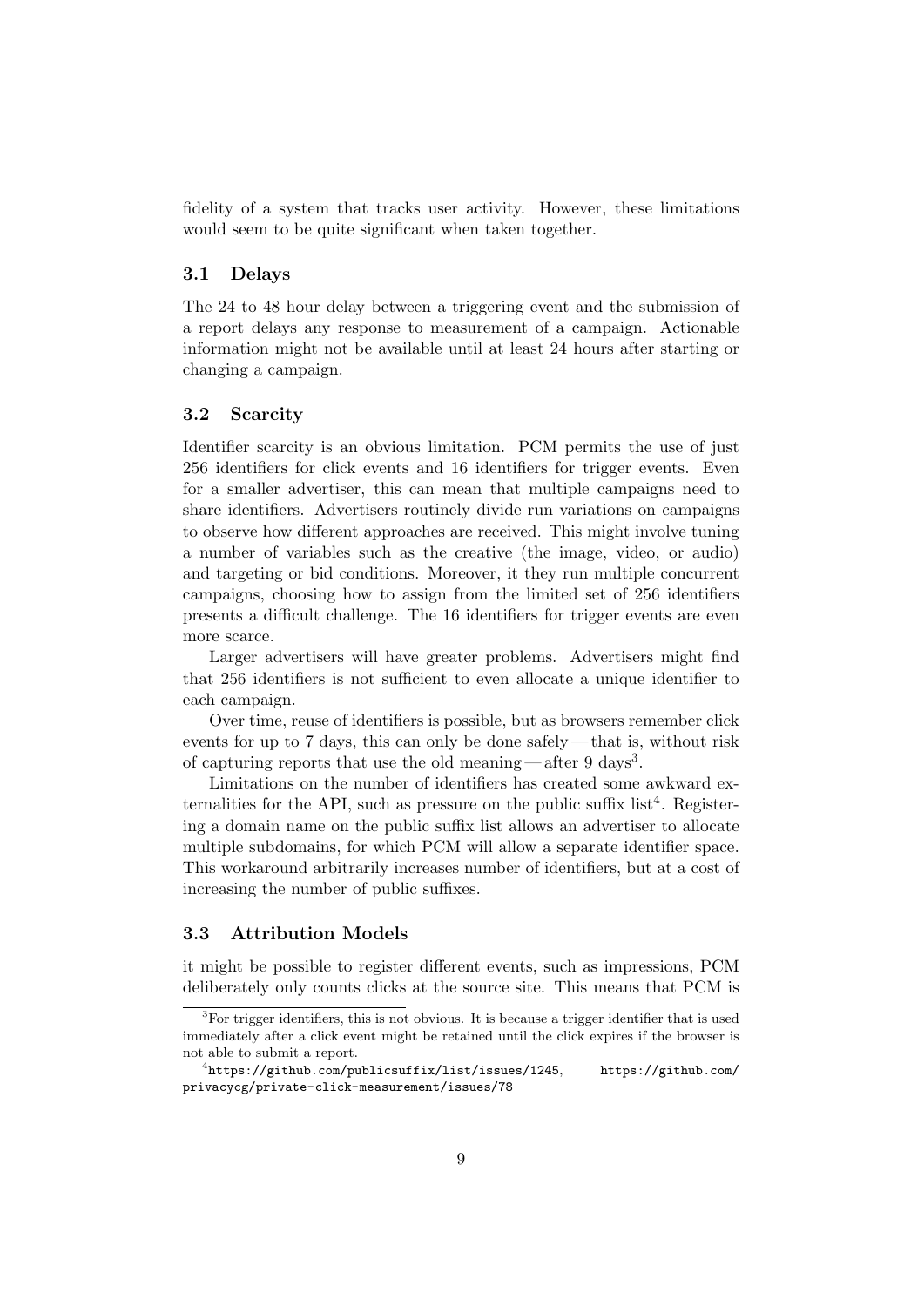fidelity of a system that tracks user activity. However, these limitations would seem to be quite significant when taken together.

### 3.1 Delays

The 24 to 48 hour delay between a triggering event and the submission of a report delays any response to measurement of a campaign. Actionable information might not be available until at least 24 hours after starting or changing a campaign.

### 3.2 Scarcity

Identifier scarcity is an obvious limitation. PCM permits the use of just 256 identifiers for click events and 16 identifiers for trigger events. Even for a smaller advertiser, this can mean that multiple campaigns need to share identifiers. Advertisers routinely divide run variations on campaigns to observe how different approaches are received. This might involve tuning a number of variables such as the creative (the image, video, or audio) and targeting or bid conditions. Moreover, it they run multiple concurrent campaigns, choosing how to assign from the limited set of 256 identifiers presents a difficult challenge. The 16 identifiers for trigger events are even more scarce.

Larger advertisers will have greater problems. Advertisers might find that 256 identifiers is not sufficient to even allocate a unique identifier to each campaign.

Over time, reuse of identifiers is possible, but as browsers remember click events for up to 7 days, this can only be done safely — that is, without risk of capturing reports that use the old meaning—after 9 days<sup>[3](#page-8-1)</sup>.

Limitations on the number of identifiers has created some awkward externalities for the API, such as pressure on the public suffix  $list<sup>4</sup>$  $list<sup>4</sup>$  $list<sup>4</sup>$ . Registering a domain name on the public suffix list allows an advertiser to allocate multiple subdomains, for which PCM will allow a separate identifier space. This workaround arbitrarily increases number of identifiers, but at a cost of increasing the number of public suffixes.

## <span id="page-8-0"></span>3.3 Attribution Models

it might be possible to register different events, such as impressions, PCM deliberately only counts clicks at the source site. This means that PCM is

<span id="page-8-1"></span> ${}^{3}$ For trigger identifiers, this is not obvious. It is because a trigger identifier that is used immediately after a click event might be retained until the click expires if the browser is not able to submit a report.

<span id="page-8-2"></span> $^4$ <https://github.com/publicsuffix/list/issues/1245>, [https://github.com/](https://github.com/privacycg/private-click-measurement/issues/78) [privacycg/private-click-measurement/issues/78](https://github.com/privacycg/private-click-measurement/issues/78)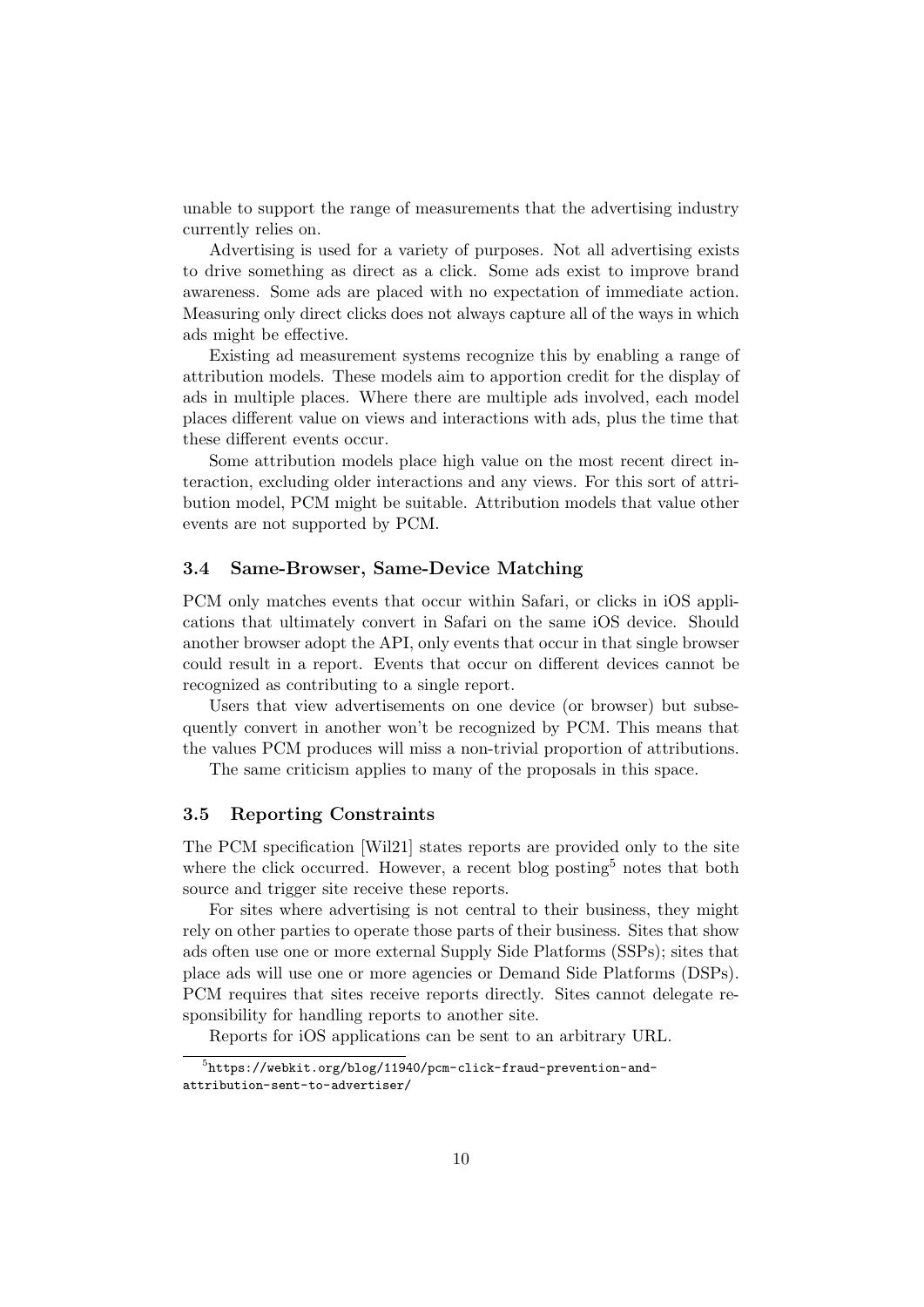unable to support the range of measurements that the advertising industry currently relies on.

Advertising is used for a variety of purposes. Not all advertising exists to drive something as direct as a click. Some ads exist to improve brand awareness. Some ads are placed with no expectation of immediate action. Measuring only direct clicks does not always capture all of the ways in which ads might be effective.

Existing ad measurement systems recognize this by enabling a range of attribution models. These models aim to apportion credit for the display of ads in multiple places. Where there are multiple ads involved, each model places different value on views and interactions with ads, plus the time that these different events occur.

Some attribution models place high value on the most recent direct interaction, excluding older interactions and any views. For this sort of attribution model, PCM might be suitable. Attribution models that value other events are not supported by PCM.

## 3.4 Same-Browser, Same-Device Matching

PCM only matches events that occur within Safari, or clicks in iOS applications that ultimately convert in Safari on the same iOS device. Should another browser adopt the API, only events that occur in that single browser could result in a report. Events that occur on different devices cannot be recognized as contributing to a single report.

Users that view advertisements on one device (or browser) but subsequently convert in another won't be recognized by PCM. This means that the values PCM produces will miss a non-trivial proportion of attributions.

The same criticism applies to many of the proposals in this space.

#### 3.5 Reporting Constraints

The PCM specification [\[Wil21\]](#page-11-0) states reports are provided only to the site where the click occurred. However, a recent blog posting<sup>[5](#page-9-0)</sup> notes that both source and trigger site receive these reports.

For sites where advertising is not central to their business, they might rely on other parties to operate those parts of their business. Sites that show ads often use one or more external Supply Side Platforms (SSPs); sites that place ads will use one or more agencies or Demand Side Platforms (DSPs). PCM requires that sites receive reports directly. Sites cannot delegate responsibility for handling reports to another site.

<span id="page-9-0"></span>Reports for iOS applications can be sent to an arbitrary URL.

 $^{5}$ [https://webkit.org/blog/11940/pcm-click-fraud-prevention-and](https://webkit.org/blog/11940/pcm-click-fraud-prevention-and-attribution-sent-to-advertiser/)[attribution-sent-to-advertiser/](https://webkit.org/blog/11940/pcm-click-fraud-prevention-and-attribution-sent-to-advertiser/)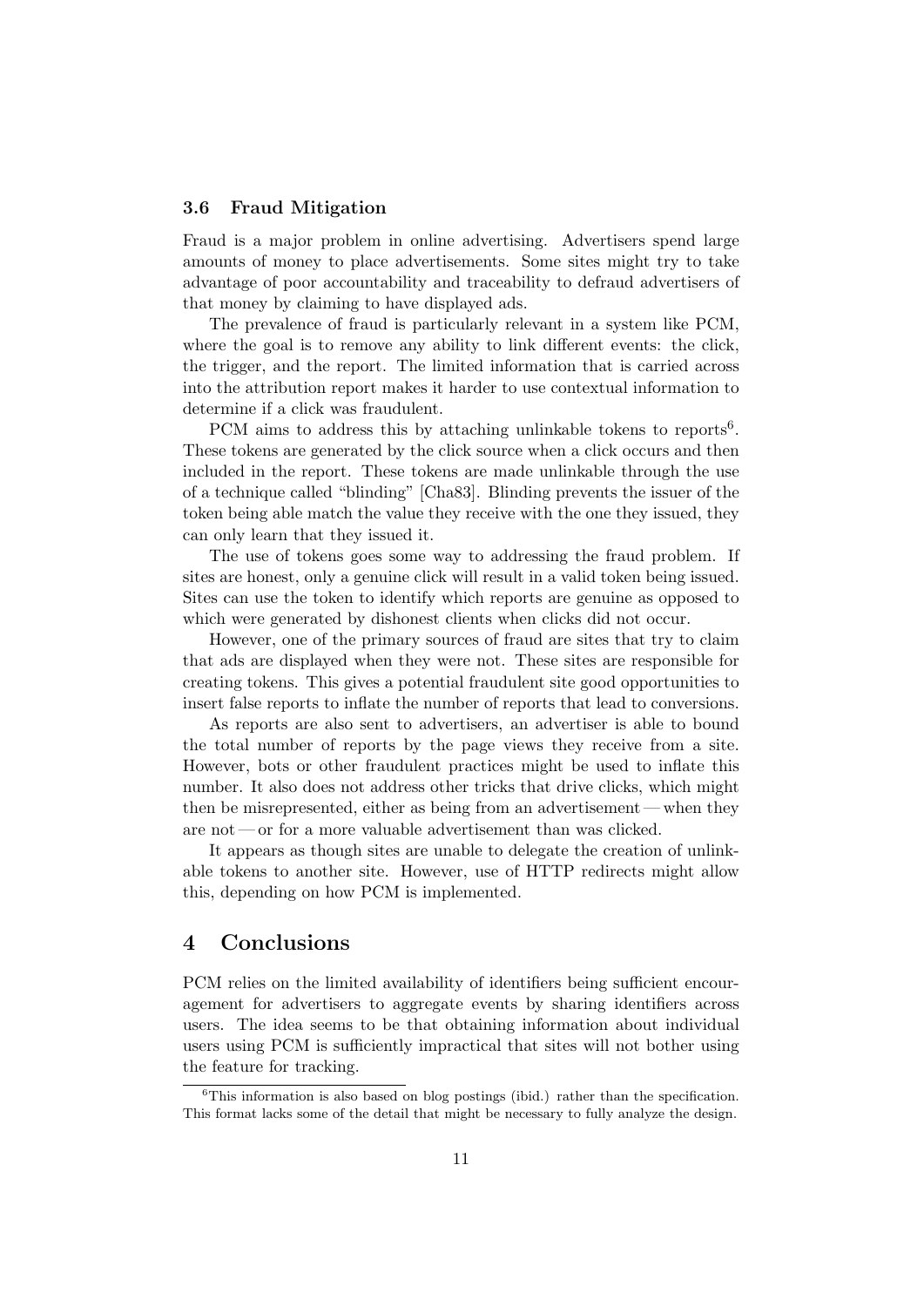## 3.6 Fraud Mitigation

Fraud is a major problem in online advertising. Advertisers spend large amounts of money to place advertisements. Some sites might try to take advantage of poor accountability and traceability to defraud advertisers of that money by claiming to have displayed ads.

The prevalence of fraud is particularly relevant in a system like PCM, where the goal is to remove any ability to link different events: the click, the trigger, and the report. The limited information that is carried across into the attribution report makes it harder to use contextual information to determine if a click was fraudulent.

PCM aims to address this by attaching unlinkable tokens to reports<sup>[6](#page-10-1)</sup>. These tokens are generated by the click source when a click occurs and then included in the report. These tokens are made unlinkable through the use of a technique called "blinding" [\[Cha83\]](#page-11-2). Blinding prevents the issuer of the token being able match the value they receive with the one they issued, they can only learn that they issued it.

The use of tokens goes some way to addressing the fraud problem. If sites are honest, only a genuine click will result in a valid token being issued. Sites can use the token to identify which reports are genuine as opposed to which were generated by dishonest clients when clicks did not occur.

However, one of the primary sources of fraud are sites that try to claim that ads are displayed when they were not. These sites are responsible for creating tokens. This gives a potential fraudulent site good opportunities to insert false reports to inflate the number of reports that lead to conversions.

As reports are also sent to advertisers, an advertiser is able to bound the total number of reports by the page views they receive from a site. However, bots or other fraudulent practices might be used to inflate this number. It also does not address other tricks that drive clicks, which might then be misrepresented, either as being from an advertisement— when they are not — or for a more valuable advertisement than was clicked.

It appears as though sites are unable to delegate the creation of unlinkable tokens to another site. However, use of HTTP redirects might allow this, depending on how PCM is implemented.

## <span id="page-10-0"></span>4 Conclusions

PCM relies on the limited availability of identifiers being sufficient encouragement for advertisers to aggregate events by sharing identifiers across users. The idea seems to be that obtaining information about individual users using PCM is sufficiently impractical that sites will not bother using the feature for tracking.

<span id="page-10-1"></span> ${}^{6}$ This information is also based on blog postings (ibid.) rather than the specification. This format lacks some of the detail that might be necessary to fully analyze the design.